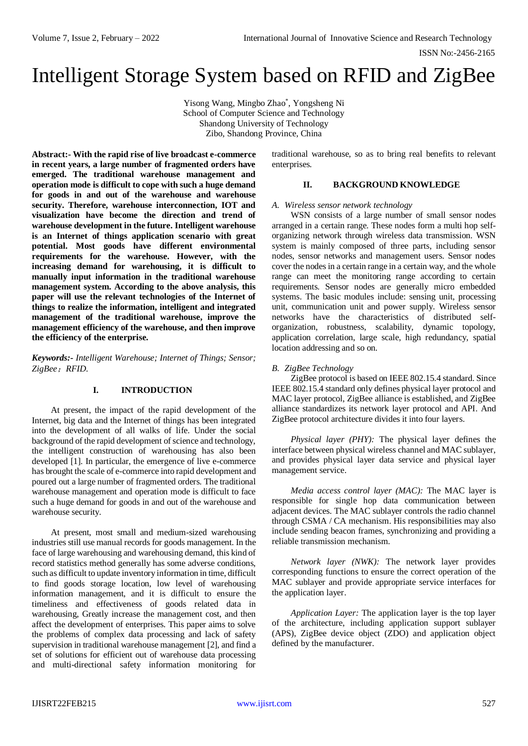# Intelligent Storage System based on RFID and ZigBee

Yisong Wang, Mingbo Zhao\* , Yongsheng Ni School of Computer Science and Technology Shandong University of Technology Zibo, Shandong Province, China

**Abstract:- With the rapid rise of live broadcast e-commerce in recent years, a large number of fragmented orders have emerged. The traditional warehouse management and operation mode is difficult to cope with such a huge demand for goods in and out of the warehouse and warehouse security. Therefore, warehouse interconnection, IOT and visualization have become the direction and trend of warehouse development in the future. Intelligent warehouse is an Internet of things application scenario with great potential. Most goods have different environmental requirements for the warehouse. However, with the increasing demand for warehousing, it is difficult to manually input information in the traditional warehouse management system. According to the above analysis, this paper will use the relevant technologies of the Internet of things to realize the information, intelligent and integrated management of the traditional warehouse, improve the management efficiency of the warehouse, and then improve the efficiency of the enterprise.**

*Keywords:- Intelligent Warehouse; Internet of Things; Sensor; ZigBee*;*RFID.*

## **I. INTRODUCTION**

At present, the impact of the rapid development of the Internet, big data and the Internet of things has been integrated into the development of all walks of life. Under the social background of the rapid development of science and technology, the intelligent construction of warehousing has also been developed [1]. In particular, the emergence of live e-commerce has brought the scale of e-commerce into rapid development and poured out a large number of fragmented orders. The traditional warehouse management and operation mode is difficult to face such a huge demand for goods in and out of the warehouse and warehouse security.

At present, most small and medium-sized warehousing industries still use manual records for goods management. In the face of large warehousing and warehousing demand, this kind of record statistics method generally has some adverse conditions, such as difficult to update inventory information in time, difficult to find goods storage location, low level of warehousing information management, and it is difficult to ensure the timeliness and effectiveness of goods related data in warehousing, Greatly increase the management cost, and then affect the development of enterprises. This paper aims to solve the problems of complex data processing and lack of safety supervision in traditional warehouse management [2], and find a set of solutions for efficient out of warehouse data processing and multi-directional safety information monitoring for

traditional warehouse, so as to bring real benefits to relevant enterprises.

## **II. BACKGROUND KNOWLEDGE**

## *A. Wireless sensor network technology*

WSN consists of a large number of small sensor nodes arranged in a certain range. These nodes form a multi hop selforganizing network through wireless data transmission. WSN system is mainly composed of three parts, including sensor nodes, sensor networks and management users. Sensor nodes cover the nodes in a certain range in a certain way, and the whole range can meet the monitoring range according to certain requirements. Sensor nodes are generally micro embedded systems. The basic modules include: sensing unit, processing unit, communication unit and power supply. Wireless sensor networks have the characteristics of distributed selforganization, robustness, scalability, dynamic topology, application correlation, large scale, high redundancy, spatial location addressing and so on.

# *B. ZigBee Technology*

ZigBee protocol is based on IEEE 802.15.4 standard. Since IEEE 802.15.4 standard only defines physical layer protocol and MAC layer protocol, ZigBee alliance is established, and ZigBee alliance standardizes its network layer protocol and API. And ZigBee protocol architecture divides it into four layers.

*Physical layer (PHY):* The physical layer defines the interface between physical wireless channel and MAC sublayer, and provides physical layer data service and physical layer management service.

*Media access control layer (MAC):* The MAC layer is responsible for single hop data communication between adjacent devices. The MAC sublayer controls the radio channel through CSMA / CA mechanism. His responsibilities may also include sending beacon frames, synchronizing and providing a reliable transmission mechanism.

*Network layer (NWK):* The network layer provides corresponding functions to ensure the correct operation of the MAC sublayer and provide appropriate service interfaces for the application layer.

*Application Layer:* The application layer is the top layer of the architecture, including application support sublayer (APS), ZigBee device object (ZDO) and application object defined by the manufacturer.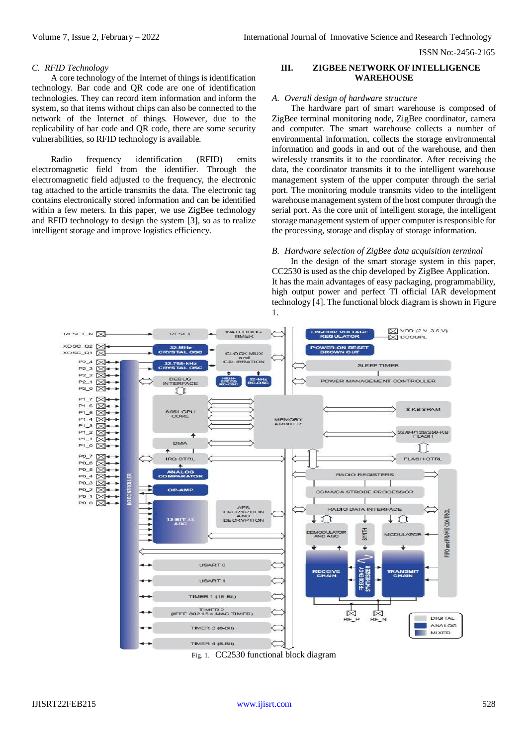ISSN No:-2456-2165

#### *C. RFID Technology*

A core technology of the Internet of things is identification technology. Bar code and QR code are one of identification technologies. They can record item information and inform the system, so that items without chips can also be connected to the network of the Internet of things. However, due to the replicability of bar code and QR code, there are some security vulnerabilities, so RFID technology is available.

Radio frequency identification (RFID) emits electromagnetic field from the identifier. Through the electromagnetic field adjusted to the frequency, the electronic tag attached to the article transmits the data. The electronic tag contains electronically stored information and can be identified within a few meters. In this paper, we use ZigBee technology and RFID technology to design the system [3], so as to realize intelligent storage and improve logistics efficiency.

## **III. ZIGBEE NETWORK OF INTELLIGENCE WAREHOUSE**

#### *A. Overall design of hardware structure*

The hardware part of smart warehouse is composed of ZigBee terminal monitoring node, ZigBee coordinator, camera and computer. The smart warehouse collects a number of environmental information, collects the storage environmental information and goods in and out of the warehouse, and then wirelessly transmits it to the coordinator. After receiving the data, the coordinator transmits it to the intelligent warehouse management system of the upper computer through the serial port. The monitoring module transmits video to the intelligent warehouse management system of the host computer through the serial port. As the core unit of intelligent storage, the intelligent storage management system of upper computer is responsible for the processing, storage and display of storage information.

#### *B. Hardware selection of ZigBee data acquisition terminal*

In the design of the smart storage system in this paper, CC2530 is used as the chip developed by ZigBee Application. It has the main advantages of easy packaging, programmability, high output power and perfect TI official IAR development technology [4]. The functional block diagram is shown in Figure 1.



Fig. 1. CC2530 functional block diagram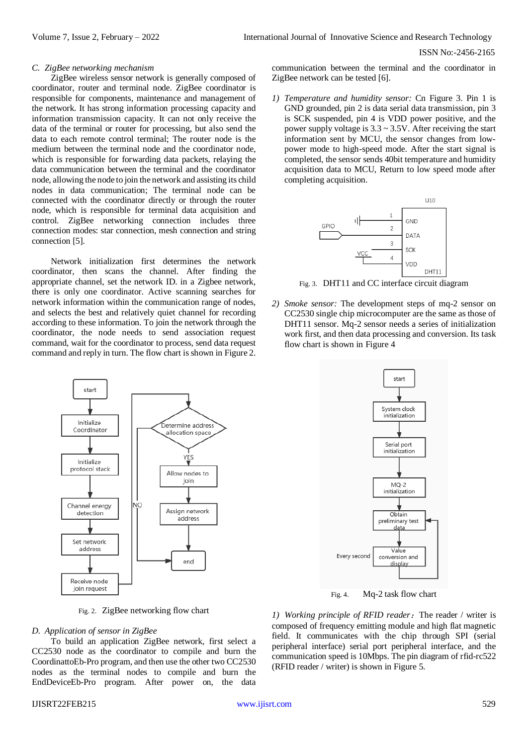ISSN No:-2456-2165

#### *C. ZigBee networking mechanism*

ZigBee wireless sensor network is generally composed of coordinator, router and terminal node. ZigBee coordinator is responsible for components, maintenance and management of the network. It has strong information processing capacity and information transmission capacity. It can not only receive the data of the terminal or router for processing, but also send the data to each remote control terminal; The router node is the medium between the terminal node and the coordinator node, which is responsible for forwarding data packets, relaying the data communication between the terminal and the coordinator node, allowing the node to join the network and assisting its child nodes in data communication; The terminal node can be connected with the coordinator directly or through the router node, which is responsible for terminal data acquisition and control. ZigBee networking connection includes three connection modes: star connection, mesh connection and string connection [5].

Network initialization first determines the network coordinator, then scans the channel. After finding the appropriate channel, set the network ID. in a Zigbee network, there is only one coordinator. Active scanning searches for network information within the communication range of nodes, and selects the best and relatively quiet channel for recording according to these information. To join the network through the coordinator, the node needs to send association request command, wait for the coordinator to process, send data request command and reply in turn. The flow chart is shown in Figure 2.



Fig. 2. ZigBee networking flow chart

#### *D. Application of sensor in ZigBee*

To build an application ZigBee network, first select a CC2530 node as the coordinator to compile and burn the CoordinattoEb-Pro program, and then use the other two CC2530 nodes as the terminal nodes to compile and burn the EndDeviceEb-Pro program. After power on, the data

communication between the terminal and the coordinator in ZigBee network can be tested [6].

*1) Temperature and humidity sensor:* Cn Figure 3. Pin 1 is GND grounded, pin 2 is data serial data transmission, pin 3 is SCK suspended, pin 4 is VDD power positive, and the power supply voltage is  $3.3 \sim 3.5V$ . After receiving the start information sent by MCU, the sensor changes from lowpower mode to high-speed mode. After the start signal is completed, the sensor sends 40bit temperature and humidity acquisition data to MCU, Return to low speed mode after completing acquisition.



Fig. 3. DHT11 and CC interface circuit diagram

*2) Smoke sensor:* The development steps of mq-2 sensor on CC2530 single chip microcomputer are the same as those of DHT11 sensor. Mq-2 sensor needs a series of initialization work first, and then data processing and conversion. Its task flow chart is shown in Figure 4



Fig. 4. Mq-2 task flow chart

1) Working principle of RFID reader: The reader / writer is composed of frequency emitting module and high flat magnetic field. It communicates with the chip through SPI (serial peripheral interface) serial port peripheral interface, and the communication speed is 10Mbps. The pin diagram of rfid-rc522 (RFID reader / writer) is shown in Figure 5.